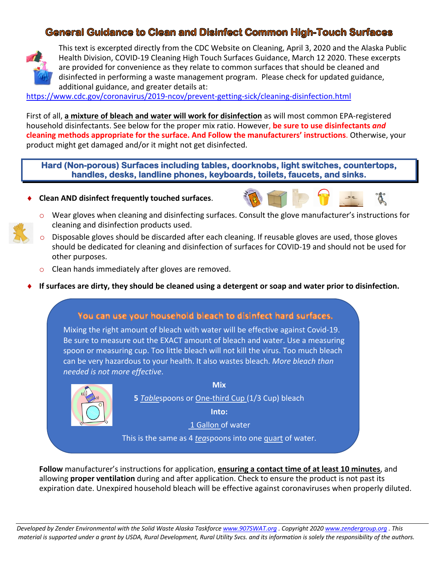# **General Guidance to Clean and Disinfect Common High-Touch Surfaces**



This text is excerpted directly from the CDC Website on Cleaning, April 3, 2020 and the Alaska Public Health Division, COVID-19 Cleaning High Touch Surfaces Guidance, March 12 2020. These excerpts are provided for convenience as they relate to common surfaces that should be cleaned and disinfected in performing a waste management program. Please check for updated guidance, additional guidance, and greater details at:

https://www.cdc.gov/coronavirus/2019-ncov/prevent-getting-sick/cleaning-disinfection.html

First of all, **a mixture of bleach and water will work for disinfection** as will most common EPA-registered household disinfectants. See below for the proper mix ratio. However, **be sure to use disinfectants** *and* **cleaning methods appropriate for the surface. And Follow the manufacturers' instructions**. Otherwise, your product might get damaged and/or it might not get disinfected.

**Hard (Non-porous) Surfaces including tables, doorknobs, light switches, countertops, handles, desks, landline phones, keyboards, toilets, faucets, and sinks.**

¨ **Clean AND disinfect frequently touched surfaces**.



- o Wear gloves when cleaning and disinfecting surfaces. Consult the glove manufacturer's instructions for cleaning and disinfection products used.
- $\circ$  Disposable gloves should be discarded after each cleaning. If reusable gloves are used, those gloves should be dedicated for cleaning and disinfection of surfaces for COVID-19 and should not be used for other purposes.
- o Clean hands immediately after gloves are removed.
- ¨ **If surfaces are dirty, they should be cleaned using a detergent or soap and water prior to disinfection.**



**Follow** manufacturer's instructions for application, **ensuring a contact time of at least 10 minutes**, and allowing **proper ventilation** during and after application. Check to ensure the product is not past its expiration date. Unexpired household bleach will be effective against coronaviruses when properly diluted.

*Developed by Zender Environmental with the Solid Waste Alaska Taskforce www.907SWAT.org . Copyright 2020 www.zendergroup.org . This material is supported under a grant by USDA, Rural Development, Rural Utility Svcs. and its information is solely the responsibility of the authors.*